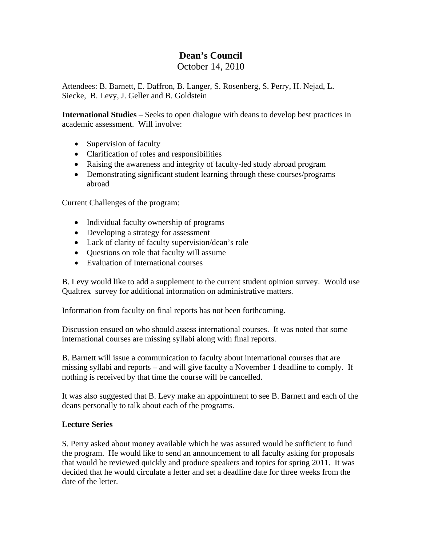# **Dean's Council**

## October 14, 2010

Attendees: B. Barnett, E. Daffron, B. Langer, S. Rosenberg, S. Perry, H. Nejad, L. Siecke, B. Levy, J. Geller and B. Goldstein

**International Studies** – Seeks to open dialogue with deans to develop best practices in academic assessment. Will involve:

- Supervision of faculty
- Clarification of roles and responsibilities
- Raising the awareness and integrity of faculty-led study abroad program
- Demonstrating significant student learning through these courses/programs abroad

Current Challenges of the program:

- Individual faculty ownership of programs
- Developing a strategy for assessment
- Lack of clarity of faculty supervision/dean's role
- Questions on role that faculty will assume
- Evaluation of International courses

B. Levy would like to add a supplement to the current student opinion survey. Would use Qualtrex survey for additional information on administrative matters.

Information from faculty on final reports has not been forthcoming.

Discussion ensued on who should assess international courses. It was noted that some international courses are missing syllabi along with final reports.

B. Barnett will issue a communication to faculty about international courses that are missing syllabi and reports – and will give faculty a November 1 deadline to comply. If nothing is received by that time the course will be cancelled.

It was also suggested that B. Levy make an appointment to see B. Barnett and each of the deans personally to talk about each of the programs.

## **Lecture Series**

S. Perry asked about money available which he was assured would be sufficient to fund the program. He would like to send an announcement to all faculty asking for proposals that would be reviewed quickly and produce speakers and topics for spring 2011. It was decided that he would circulate a letter and set a deadline date for three weeks from the date of the letter.